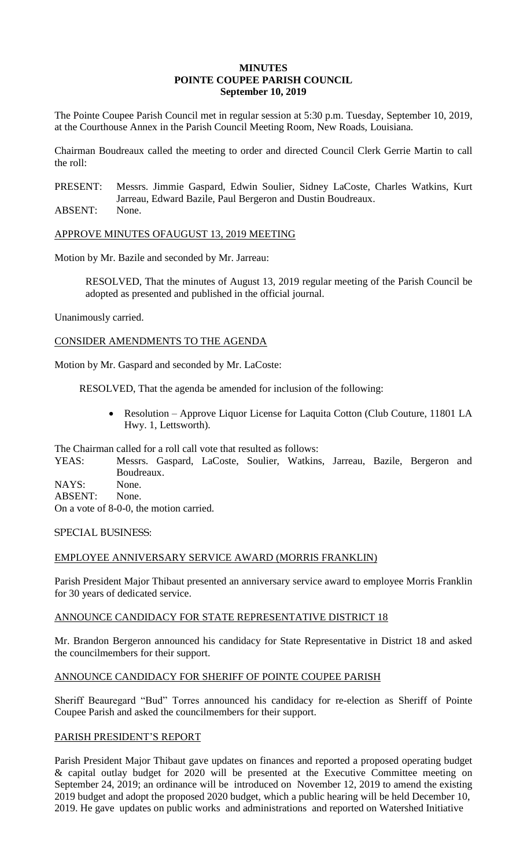## **MINUTES POINTE COUPEE PARISH COUNCIL September 10, 2019**

The Pointe Coupee Parish Council met in regular session at 5:30 p.m. Tuesday, September 10, 2019, at the Courthouse Annex in the Parish Council Meeting Room, New Roads, Louisiana.

Chairman Boudreaux called the meeting to order and directed Council Clerk Gerrie Martin to call the roll:

PRESENT: Messrs. Jimmie Gaspard, Edwin Soulier, Sidney LaCoste, Charles Watkins, Kurt Jarreau, Edward Bazile, Paul Bergeron and Dustin Boudreaux.

ABSENT: None.

APPROVE MINUTES OFAUGUST 13, 2019 MEETING

Motion by Mr. Bazile and seconded by Mr. Jarreau:

RESOLVED, That the minutes of August 13, 2019 regular meeting of the Parish Council be adopted as presented and published in the official journal.

Unanimously carried.

CONSIDER AMENDMENTS TO THE AGENDA

Motion by Mr. Gaspard and seconded by Mr. LaCoste:

RESOLVED, That the agenda be amended for inclusion of the following:

 Resolution – Approve Liquor License for Laquita Cotton (Club Couture, 11801 LA Hwy. 1, Lettsworth).

The Chairman called for a roll call vote that resulted as follows:

YEAS: Messrs. Gaspard, LaCoste, Soulier, Watkins, Jarreau, Bazile, Bergeron and Boudreaux. NAYS: None.

ABSENT: None.

On a vote of 8-0-0, the motion carried.

SPECIAL BUSINESS:

# EMPLOYEE ANNIVERSARY SERVICE AWARD (MORRIS FRANKLIN)

Parish President Major Thibaut presented an anniversary service award to employee Morris Franklin for 30 years of dedicated service.

## ANNOUNCE CANDIDACY FOR STATE REPRESENTATIVE DISTRICT 18

Mr. Brandon Bergeron announced his candidacy for State Representative in District 18 and asked the councilmembers for their support.

# ANNOUNCE CANDIDACY FOR SHERIFF OF POINTE COUPEE PARISH

Sheriff Beauregard "Bud" Torres announced his candidacy for re-election as Sheriff of Pointe Coupee Parish and asked the councilmembers for their support.

## PARISH PRESIDENT'S REPORT

Parish President Major Thibaut gave updates on finances and reported a proposed operating budget & capital outlay budget for 2020 will be presented at the Executive Committee meeting on September 24, 2019; an ordinance will be introduced on November 12, 2019 to amend the existing 2019 budget and adopt the proposed 2020 budget, which a public hearing will be held December 10, 2019. He gave updates on public works and administrations and reported on Watershed Initiative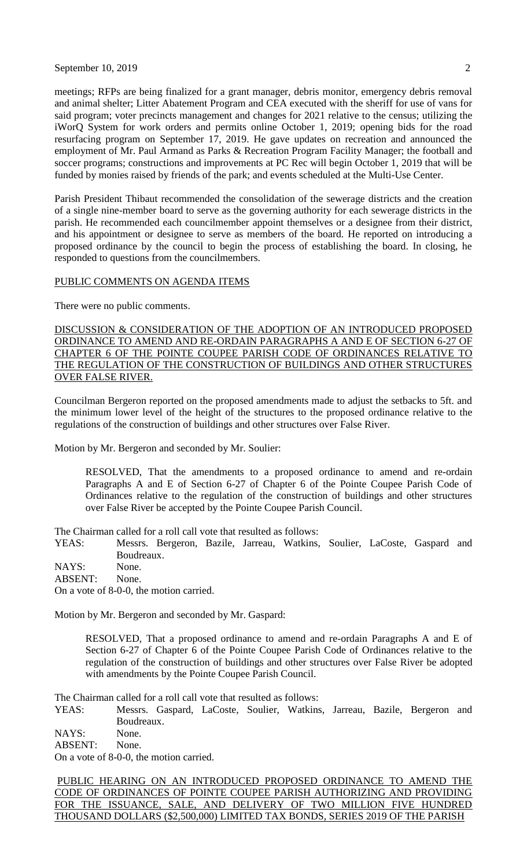September 10, 2019  $\overline{2}$ 

meetings; RFPs are being finalized for a grant manager, debris monitor, emergency debris removal and animal shelter; Litter Abatement Program and CEA executed with the sheriff for use of vans for said program; voter precincts management and changes for 2021 relative to the census; utilizing the iWorQ System for work orders and permits online October 1, 2019; opening bids for the road resurfacing program on September 17, 2019. He gave updates on recreation and announced the employment of Mr. Paul Armand as Parks & Recreation Program Facility Manager; the football and soccer programs; constructions and improvements at PC Rec will begin October 1, 2019 that will be funded by monies raised by friends of the park; and events scheduled at the Multi-Use Center.

Parish President Thibaut recommended the consolidation of the sewerage districts and the creation of a single nine-member board to serve as the governing authority for each sewerage districts in the parish. He recommended each councilmember appoint themselves or a designee from their district, and his appointment or designee to serve as members of the board. He reported on introducing a proposed ordinance by the council to begin the process of establishing the board. In closing, he responded to questions from the councilmembers.

#### PUBLIC COMMENTS ON AGENDA ITEMS

There were no public comments.

DISCUSSION & CONSIDERATION OF THE ADOPTION OF AN INTRODUCED PROPOSED ORDINANCE TO AMEND AND RE-ORDAIN PARAGRAPHS A AND E OF SECTION 6-27 OF CHAPTER 6 OF THE POINTE COUPEE PARISH CODE OF ORDINANCES RELATIVE TO THE REGULATION OF THE CONSTRUCTION OF BUILDINGS AND OTHER STRUCTURES OVER FALSE RIVER.

Councilman Bergeron reported on the proposed amendments made to adjust the setbacks to 5ft. and the minimum lower level of the height of the structures to the proposed ordinance relative to the regulations of the construction of buildings and other structures over False River.

Motion by Mr. Bergeron and seconded by Mr. Soulier:

RESOLVED, That the amendments to a proposed ordinance to amend and re-ordain Paragraphs A and E of Section 6-27 of Chapter 6 of the Pointe Coupee Parish Code of Ordinances relative to the regulation of the construction of buildings and other structures over False River be accepted by the Pointe Coupee Parish Council.

The Chairman called for a roll call vote that resulted as follows:

YEAS: Messrs. Bergeron, Bazile, Jarreau, Watkins, Soulier, LaCoste, Gaspard and Boudreaux.

NAYS: None. ABSENT: None.

On a vote of 8-0-0, the motion carried.

Motion by Mr. Bergeron and seconded by Mr. Gaspard:

RESOLVED, That a proposed ordinance to amend and re-ordain Paragraphs A and E of Section 6-27 of Chapter 6 of the Pointe Coupee Parish Code of Ordinances relative to the regulation of the construction of buildings and other structures over False River be adopted with amendments by the Pointe Coupee Parish Council.

The Chairman called for a roll call vote that resulted as follows:

YEAS: Messrs. Gaspard, LaCoste, Soulier, Watkins, Jarreau, Bazile, Bergeron and Boudreaux.

NAYS: None.

ABSENT: None.

On a vote of 8-0-0, the motion carried.

PUBLIC HEARING ON AN INTRODUCED PROPOSED ORDINANCE TO AMEND THE CODE OF ORDINANCES OF POINTE COUPEE PARISH AUTHORIZING AND PROVIDING FOR THE ISSUANCE, SALE, AND DELIVERY OF TWO MILLION FIVE HUNDRED THOUSAND DOLLARS (\$2,500,000) LIMITED TAX BONDS, SERIES 2019 OF THE PARISH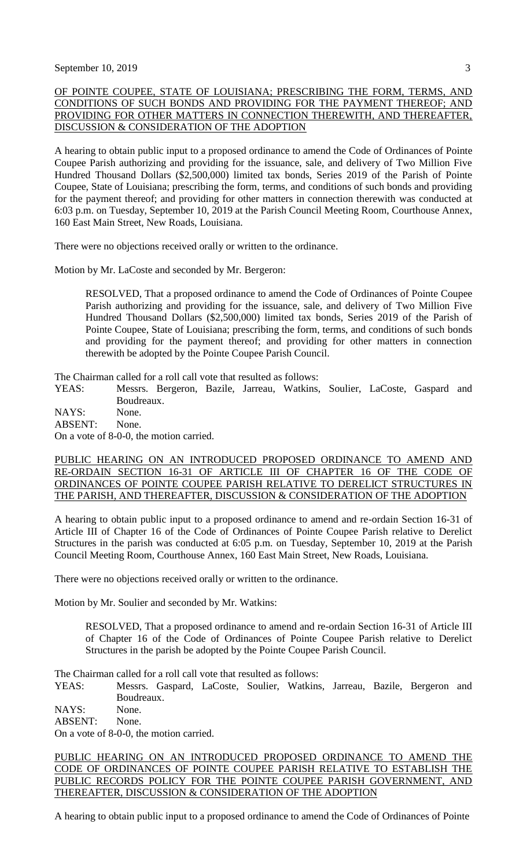## OF POINTE COUPEE, STATE OF LOUISIANA; PRESCRIBING THE FORM, TERMS, AND CONDITIONS OF SUCH BONDS AND PROVIDING FOR THE PAYMENT THEREOF; AND PROVIDING FOR OTHER MATTERS IN CONNECTION THEREWITH, AND THEREAFTER, DISCUSSION & CONSIDERATION OF THE ADOPTION

A hearing to obtain public input to a proposed ordinance to amend the Code of Ordinances of Pointe Coupee Parish authorizing and providing for the issuance, sale, and delivery of Two Million Five Hundred Thousand Dollars (\$2,500,000) limited tax bonds, Series 2019 of the Parish of Pointe Coupee, State of Louisiana; prescribing the form, terms, and conditions of such bonds and providing for the payment thereof; and providing for other matters in connection therewith was conducted at 6:03 p.m. on Tuesday, September 10, 2019 at the Parish Council Meeting Room, Courthouse Annex, 160 East Main Street, New Roads, Louisiana.

There were no objections received orally or written to the ordinance.

Motion by Mr. LaCoste and seconded by Mr. Bergeron:

RESOLVED, That a proposed ordinance to amend the Code of Ordinances of Pointe Coupee Parish authorizing and providing for the issuance, sale, and delivery of Two Million Five Hundred Thousand Dollars (\$2,500,000) limited tax bonds, Series 2019 of the Parish of Pointe Coupee, State of Louisiana; prescribing the form, terms, and conditions of such bonds and providing for the payment thereof; and providing for other matters in connection therewith be adopted by the Pointe Coupee Parish Council.

The Chairman called for a roll call vote that resulted as follows:

YEAS: Messrs. Bergeron, Bazile, Jarreau, Watkins, Soulier, LaCoste, Gaspard and Boudreaux.

NAYS: None.

ABSENT: None. On a vote of 8-0-0, the motion carried.

PUBLIC HEARING ON AN INTRODUCED PROPOSED ORDINANCE TO AMEND AND RE-ORDAIN SECTION 16-31 OF ARTICLE III OF CHAPTER 16 OF THE CODE OF ORDINANCES OF POINTE COUPEE PARISH RELATIVE TO DERELICT STRUCTURES IN THE PARISH, AND THEREAFTER, DISCUSSION & CONSIDERATION OF THE ADOPTION

A hearing to obtain public input to a proposed ordinance to amend and re-ordain Section 16-31 of Article III of Chapter 16 of the Code of Ordinances of Pointe Coupee Parish relative to Derelict Structures in the parish was conducted at 6:05 p.m. on Tuesday, September 10, 2019 at the Parish Council Meeting Room, Courthouse Annex, 160 East Main Street, New Roads, Louisiana.

There were no objections received orally or written to the ordinance.

Motion by Mr. Soulier and seconded by Mr. Watkins:

RESOLVED, That a proposed ordinance to amend and re-ordain Section 16-31 of Article III of Chapter 16 of the Code of Ordinances of Pointe Coupee Parish relative to Derelict Structures in the parish be adopted by the Pointe Coupee Parish Council.

The Chairman called for a roll call vote that resulted as follows:

YEAS: Messrs. Gaspard, LaCoste, Soulier, Watkins, Jarreau, Bazile, Bergeron and Boudreaux.

NAYS: None.

ABSENT: None.

On a vote of 8-0-0, the motion carried.

PUBLIC HEARING ON AN INTRODUCED PROPOSED ORDINANCE TO AMEND THE CODE OF ORDINANCES OF POINTE COUPEE PARISH RELATIVE TO ESTABLISH THE PUBLIC RECORDS POLICY FOR THE POINTE COUPEE PARISH GOVERNMENT, AND THEREAFTER, DISCUSSION & CONSIDERATION OF THE ADOPTION

A hearing to obtain public input to a proposed ordinance to amend the Code of Ordinances of Pointe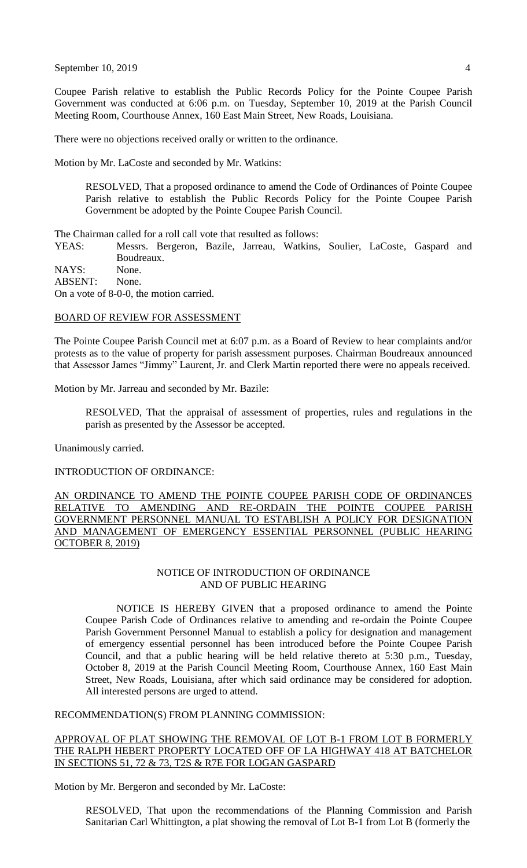September 10, 2019  $\overline{4}$ 

Coupee Parish relative to establish the Public Records Policy for the Pointe Coupee Parish Government was conducted at 6:06 p.m. on Tuesday, September 10, 2019 at the Parish Council Meeting Room, Courthouse Annex, 160 East Main Street, New Roads, Louisiana.

There were no objections received orally or written to the ordinance.

Motion by Mr. LaCoste and seconded by Mr. Watkins:

RESOLVED, That a proposed ordinance to amend the Code of Ordinances of Pointe Coupee Parish relative to establish the Public Records Policy for the Pointe Coupee Parish Government be adopted by the Pointe Coupee Parish Council.

The Chairman called for a roll call vote that resulted as follows:

YEAS: Messrs. Bergeron, Bazile, Jarreau, Watkins, Soulier, LaCoste, Gaspard and Boudreaux.

NAYS: None. ABSENT: None. On a vote of 8-0-0, the motion carried.

#### BOARD OF REVIEW FOR ASSESSMENT

The Pointe Coupee Parish Council met at 6:07 p.m. as a Board of Review to hear complaints and/or protests as to the value of property for parish assessment purposes. Chairman Boudreaux announced that Assessor James "Jimmy" Laurent, Jr. and Clerk Martin reported there were no appeals received.

Motion by Mr. Jarreau and seconded by Mr. Bazile:

RESOLVED, That the appraisal of assessment of properties, rules and regulations in the parish as presented by the Assessor be accepted.

Unanimously carried.

INTRODUCTION OF ORDINANCE:

AN ORDINANCE TO AMEND THE POINTE COUPEE PARISH CODE OF ORDINANCES RELATIVE TO AMENDING AND RE-ORDAIN THE POINTE COUPEE PARISH GOVERNMENT PERSONNEL MANUAL TO ESTABLISH A POLICY FOR DESIGNATION AND MANAGEMENT OF EMERGENCY ESSENTIAL PERSONNEL (PUBLIC HEARING OCTOBER 8, 2019)

## NOTICE OF INTRODUCTION OF ORDINANCE AND OF PUBLIC HEARING

NOTICE IS HEREBY GIVEN that a proposed ordinance to amend the Pointe Coupee Parish Code of Ordinances relative to amending and re-ordain the Pointe Coupee Parish Government Personnel Manual to establish a policy for designation and management of emergency essential personnel has been introduced before the Pointe Coupee Parish Council, and that a public hearing will be held relative thereto at 5:30 p.m., Tuesday, October 8, 2019 at the Parish Council Meeting Room, Courthouse Annex, 160 East Main Street, New Roads, Louisiana, after which said ordinance may be considered for adoption. All interested persons are urged to attend.

#### RECOMMENDATION(S) FROM PLANNING COMMISSION:

APPROVAL OF PLAT SHOWING THE REMOVAL OF LOT B-1 FROM LOT B FORMERLY THE RALPH HEBERT PROPERTY LOCATED OFF OF LA HIGHWAY 418 AT BATCHELOR IN SECTIONS 51, 72 & 73, T2S & R7E FOR LOGAN GASPARD

Motion by Mr. Bergeron and seconded by Mr. LaCoste:

RESOLVED, That upon the recommendations of the Planning Commission and Parish Sanitarian Carl Whittington, a plat showing the removal of Lot B-1 from Lot B (formerly the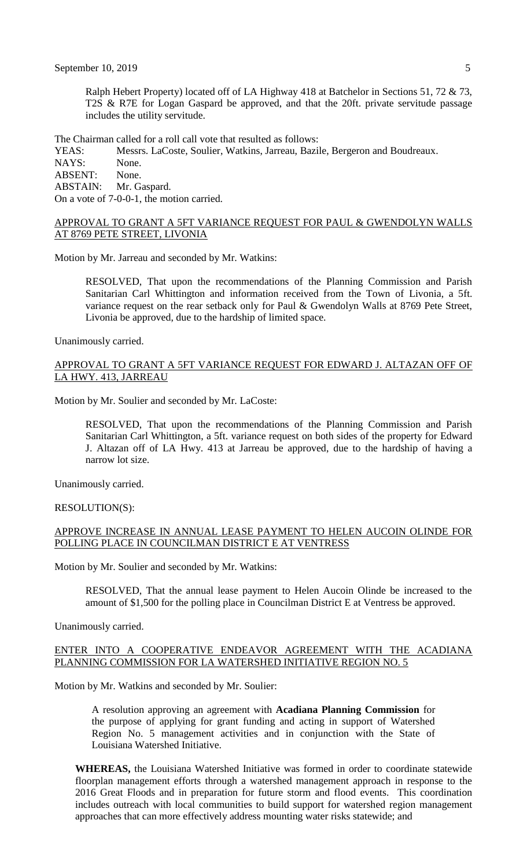Ralph Hebert Property) located off of LA Highway 418 at Batchelor in Sections 51, 72 & 73, T2S & R7E for Logan Gaspard be approved, and that the 20ft. private servitude passage includes the utility servitude.

The Chairman called for a roll call vote that resulted as follows:

YEAS: Messrs. LaCoste, Soulier, Watkins, Jarreau, Bazile, Bergeron and Boudreaux. NAYS: None. ABSENT: None.<br>ABSTAIN: Mr. G Mr. Gaspard. On a vote of 7-0-0-1, the motion carried.

#### APPROVAL TO GRANT A 5FT VARIANCE REQUEST FOR PAUL & GWENDOLYN WALLS AT 8769 PETE STREET, LIVONIA

Motion by Mr. Jarreau and seconded by Mr. Watkins:

RESOLVED, That upon the recommendations of the Planning Commission and Parish Sanitarian Carl Whittington and information received from the Town of Livonia, a 5ft. variance request on the rear setback only for Paul & Gwendolyn Walls at 8769 Pete Street, Livonia be approved, due to the hardship of limited space.

Unanimously carried.

## APPROVAL TO GRANT A 5FT VARIANCE REQUEST FOR EDWARD J. ALTAZAN OFF OF LA HWY. 413, JARREAU

Motion by Mr. Soulier and seconded by Mr. LaCoste:

RESOLVED, That upon the recommendations of the Planning Commission and Parish Sanitarian Carl Whittington, a 5ft. variance request on both sides of the property for Edward J. Altazan off of LA Hwy. 413 at Jarreau be approved, due to the hardship of having a narrow lot size.

Unanimously carried.

RESOLUTION(S):

## APPROVE INCREASE IN ANNUAL LEASE PAYMENT TO HELEN AUCOIN OLINDE FOR POLLING PLACE IN COUNCILMAN DISTRICT E AT VENTRESS

Motion by Mr. Soulier and seconded by Mr. Watkins:

RESOLVED, That the annual lease payment to Helen Aucoin Olinde be increased to the amount of \$1,500 for the polling place in Councilman District E at Ventress be approved.

Unanimously carried.

## ENTER INTO A COOPERATIVE ENDEAVOR AGREEMENT WITH THE ACADIANA PLANNING COMMISSION FOR LA WATERSHED INITIATIVE REGION NO. 5

Motion by Mr. Watkins and seconded by Mr. Soulier:

A resolution approving an agreement with **Acadiana Planning Commission** for the purpose of applying for grant funding and acting in support of Watershed Region No. 5 management activities and in conjunction with the State of Louisiana Watershed Initiative.

**WHEREAS,** the Louisiana Watershed Initiative was formed in order to coordinate statewide floorplan management efforts through a watershed management approach in response to the 2016 Great Floods and in preparation for future storm and flood events. This coordination includes outreach with local communities to build support for watershed region management approaches that can more effectively address mounting water risks statewide; and